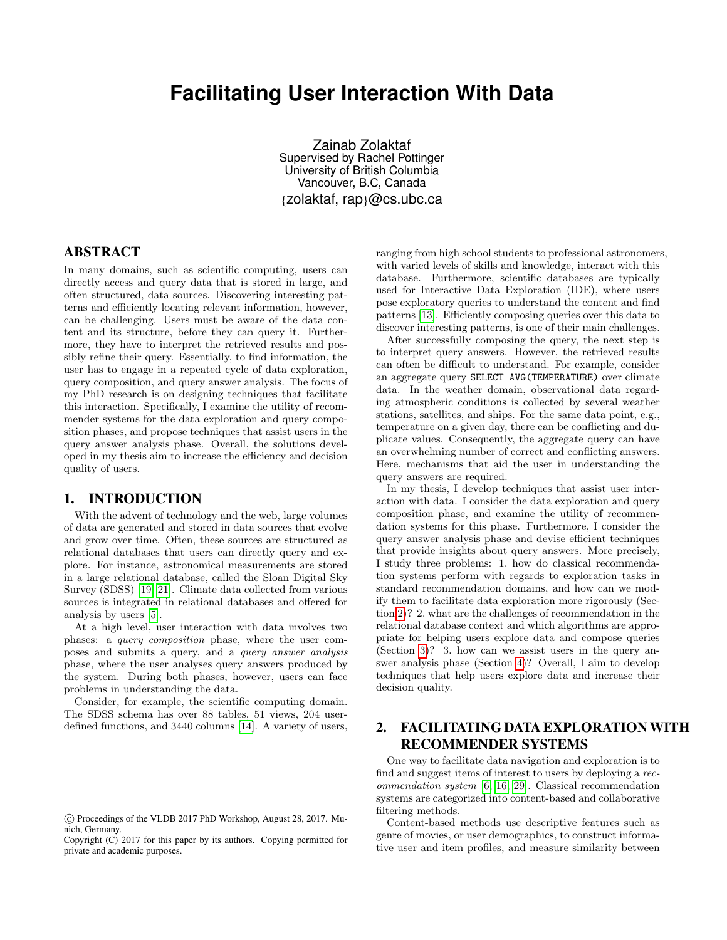# **Facilitating User Interaction With Data**

Zainab Zolaktaf Supervised by Rachel Pottinger University of British Columbia Vancouver, B.C, Canada {zolaktaf, rap}@cs.ubc.ca

# ABSTRACT

In many domains, such as scientific computing, users can directly access and query data that is stored in large, and often structured, data sources. Discovering interesting patterns and efficiently locating relevant information, however, can be challenging. Users must be aware of the data content and its structure, before they can query it. Furthermore, they have to interpret the retrieved results and possibly refine their query. Essentially, to find information, the user has to engage in a repeated cycle of data exploration, query composition, and query answer analysis. The focus of my PhD research is on designing techniques that facilitate this interaction. Specifically, I examine the utility of recommender systems for the data exploration and query composition phases, and propose techniques that assist users in the query answer analysis phase. Overall, the solutions developed in my thesis aim to increase the efficiency and decision quality of users.

### 1. INTRODUCTION

With the advent of technology and the web, large volumes of data are generated and stored in data sources that evolve and grow over time. Often, these sources are structured as relational databases that users can directly query and explore. For instance, astronomical measurements are stored in a large relational database, called the Sloan Digital Sky Survey (SDSS) [\[19,](#page-3-0) [21\]](#page-3-1). Climate data collected from various sources is integrated in relational databases and offered for analysis by users [\[5\]](#page-3-2).

At a high level, user interaction with data involves two phases: a query composition phase, where the user composes and submits a query, and a query answer analysis phase, where the user analyses query answers produced by the system. During both phases, however, users can face problems in understanding the data.

Consider, for example, the scientific computing domain. The SDSS schema has over 88 tables, 51 views, 204 userdefined functions, and 3440 columns [\[14\]](#page-3-3). A variety of users, ranging from high school students to professional astronomers, with varied levels of skills and knowledge, interact with this database. Furthermore, scientific databases are typically used for Interactive Data Exploration (IDE), where users pose exploratory queries to understand the content and find patterns [\[13\]](#page-3-4). Efficiently composing queries over this data to discover interesting patterns, is one of their main challenges.

After successfully composing the query, the next step is to interpret query answers. However, the retrieved results can often be difficult to understand. For example, consider an aggregate query SELECT AVG(TEMPERATURE) over climate data. In the weather domain, observational data regarding atmospheric conditions is collected by several weather stations, satellites, and ships. For the same data point, e.g., temperature on a given day, there can be conflicting and duplicate values. Consequently, the aggregate query can have an overwhelming number of correct and conflicting answers. Here, mechanisms that aid the user in understanding the query answers are required.

In my thesis, I develop techniques that assist user interaction with data. I consider the data exploration and query composition phase, and examine the utility of recommendation systems for this phase. Furthermore, I consider the query answer analysis phase and devise efficient techniques that provide insights about query answers. More precisely, I study three problems: 1. how do classical recommendation systems perform with regards to exploration tasks in standard recommendation domains, and how can we modify them to facilitate data exploration more rigorously (Section [2\)](#page-0-0)? 2. what are the challenges of recommendation in the relational database context and which algorithms are appropriate for helping users explore data and compose queries (Section [3\)](#page-1-0)? 3. how can we assist users in the query answer analysis phase (Section [4\)](#page-2-0)? Overall, I aim to develop techniques that help users explore data and increase their decision quality.

# <span id="page-0-0"></span>2. FACILITATING DATA EXPLORATION WITH RECOMMENDER SYSTEMS

One way to facilitate data navigation and exploration is to find and suggest items of interest to users by deploying a recommendation system [\[6,](#page-3-5) [16,](#page-3-6) [29\]](#page-3-7). Classical recommendation systems are categorized into content-based and collaborative filtering methods.

Content-based methods use descriptive features such as genre of movies, or user demographics, to construct informative user and item profiles, and measure similarity between

c Proceedings of the VLDB 2017 PhD Workshop, August 28, 2017. Munich, Germany.

Copyright (C) 2017 for this paper by its authors. Copying permitted for private and academic purposes.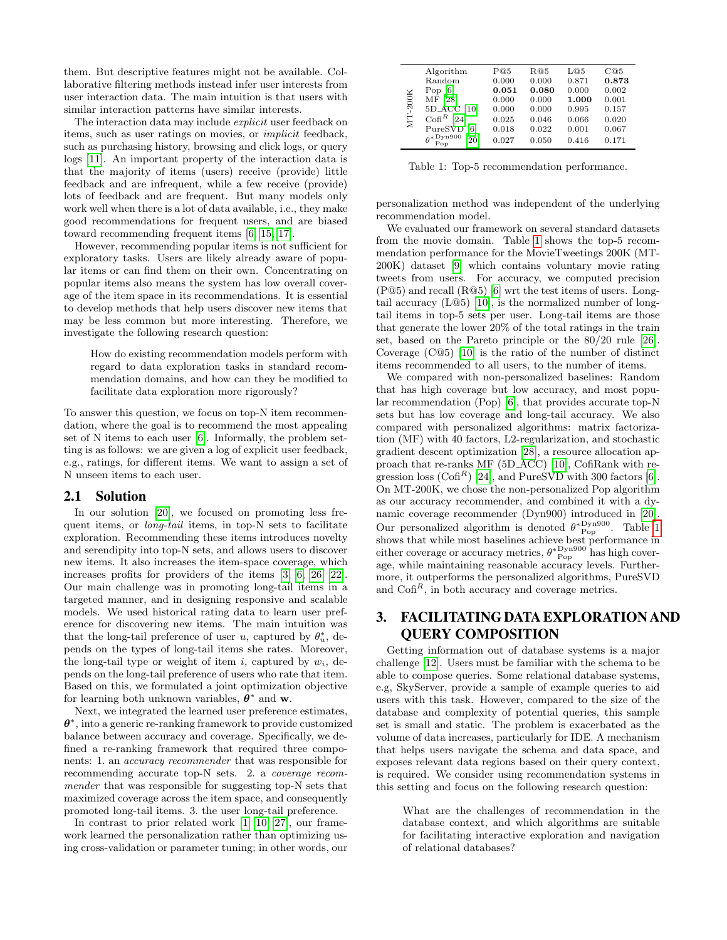them. But descriptive features might not be available. Collaborative filtering methods instead infer user interests from user interaction data. The main intuition is that users with similar interaction patterns have similar interests.

The interaction data may include *explicit* user feedback on items, such as user ratings on movies, or implicit feedback, such as purchasing history, browsing and click logs, or query logs [\[11\]](#page-3-8). An important property of the interaction data is that the majority of items (users) receive (provide) little feedback and are infrequent, while a few receive (provide) lots of feedback and are frequent. But many models only work well when there is a lot of data available, i.e., they make good recommendations for frequent users, and are biased toward recommending frequent items [\[6,](#page-3-5) [15,](#page-3-9) [17\]](#page-3-10).

However, recommending popular items is not sufficient for exploratory tasks. Users are likely already aware of popular items or can find them on their own. Concentrating on popular items also means the system has low overall coverage of the item space in its recommendations. It is essential to develop methods that help users discover new items that may be less common but more interesting. Therefore, we investigate the following research question:

How do existing recommendation models perform with regard to data exploration tasks in standard recommendation domains, and how can they be modified to facilitate data exploration more rigorously?

To answer this question, we focus on top-N item recommendation, where the goal is to recommend the most appealing set of N items to each user [\[6\]](#page-3-5). Informally, the problem setting is as follows: we are given a log of explicit user feedback, e.g., ratings, for different items. We want to assign a set of N unseen items to each user.

#### 2.1 Solution

In our solution [\[20\]](#page-3-11), we focused on promoting less frequent items, or *long-tail* items, in top-N sets to facilitate exploration. Recommending these items introduces novelty and serendipity into top-N sets, and allows users to discover new items. It also increases the item-space coverage, which increases profits for providers of the items [\[3,](#page-3-12) [6,](#page-3-5) [26,](#page-3-13) [22\]](#page-3-14). Our main challenge was in promoting long-tail items in a targeted manner, and in designing responsive and scalable models. We used historical rating data to learn user preference for discovering new items. The main intuition was that the long-tail preference of user u, captured by  $\theta_u^*$ , depends on the types of long-tail items she rates. Moreover, the long-tail type or weight of item i, captured by  $w_i$ , depends on the long-tail preference of users who rate that item. Based on this, we formulated a joint optimization objective for learning both unknown variables,  $\theta^*$  and w.

Next, we integrated the learned user preference estimates,  $\theta^*$ , into a generic re-ranking framework to provide customized balance between accuracy and coverage. Specifically, we defined a re-ranking framework that required three components: 1. an accuracy recommender that was responsible for recommending accurate top-N sets. 2. a coverage recommender that was responsible for suggesting top-N sets that maximized coverage across the item space, and consequently promoted long-tail items. 3. the user long-tail preference.

In contrast to prior related work [\[1,](#page-3-15) [10,](#page-3-16) [27\]](#page-3-17), our framework learned the personalization rather than optimizing using cross-validation or parameter tuning; in other words, our

<span id="page-1-1"></span>

| MT-200K | Algorithm                                       | P@5   | R@5   | L@5   | Ca5   |
|---------|-------------------------------------------------|-------|-------|-------|-------|
|         | Random                                          | 0.000 | 0.000 | 0.871 | 0.873 |
|         | Pop $[6]$                                       | 0.051 | 0.080 | 0.000 | 0.002 |
|         | MF [28]                                         | 0.000 | 0.000 | 1.000 | 0.001 |
|         | 5D_ACC [10]                                     | 0.000 | 0.000 | 0.995 | 0.157 |
|         | $\mathrm{Cofi}^R$ [24]                          | 0.025 | 0.046 | 0.066 | 0.020 |
|         | PureSVD [6]                                     | 0.018 | 0.022 | 0.001 | 0.067 |
|         | $\theta^*_{\text{Pop}}^{\text{Dyn900}}$<br>[20] | 0.027 | 0.050 | 0.416 | 0.171 |
|         |                                                 |       |       |       |       |

Table 1: Top-5 recommendation performance.

personalization method was independent of the underlying recommendation model.

We evaluated our framework on several standard datasets from the movie domain. Table [1](#page-1-1) shows the top-5 recommendation performance for the MovieTweetings 200K (MT-200K) dataset [\[9\]](#page-3-20) which contains voluntary movie rating tweets from users. For accuracy, we computed precision  $(P@5)$  and recall  $(R@5)$  [\[6\]](#page-3-5) wrt the test items of users. Longtail accuracy (L@5) [\[10\]](#page-3-16), is the normalized number of longtail items in top-5 sets per user. Long-tail items are those that generate the lower 20% of the total ratings in the train set, based on the Pareto principle or the 80/20 rule [\[26\]](#page-3-13). Coverage (C@5) [\[10\]](#page-3-16) is the ratio of the number of distinct items recommended to all users, to the number of items.

We compared with non-personalized baselines: Random that has high coverage but low accuracy, and most popular recommendation (Pop) [\[6\]](#page-3-5), that provides accurate top-N sets but has low coverage and long-tail accuracy. We also compared with personalized algorithms: matrix factorization (MF) with 40 factors, L2-regularization, and stochastic gradient descent optimization [\[28\]](#page-3-18), a resource allocation approach that re-ranks MF (5D ACC) [\[10\]](#page-3-16), CofiRank with re-gression loss (Cofi<sup>R</sup>) [\[24\]](#page-3-19), and PureSVD with 300 factors [\[6\]](#page-3-5). On MT-200K, we chose the non-personalized Pop algorithm as our accuracy recommender, and combined it with a dynamic coverage recommender (Dyn900) introduced in [\[20\]](#page-3-11). Our personalized algorithm is denoted  $\theta^{*}\mathcal{D}^{\text{vng00}}_{\text{Pop}}$ . Table [1](#page-1-1) shows that while most baselines achieve best performance in either coverage or accuracy metrics,  $\theta^*{\rm Pyn900\atop Pop}$  has high coverage, while maintaining reasonable accuracy levels. Furthermore, it outperforms the personalized algorithms, PureSVD and  $\text{Cof}^{R}$ , in both accuracy and coverage metrics.

# <span id="page-1-0"></span>3. FACILITATING DATA EXPLORATION AND QUERY COMPOSITION

Getting information out of database systems is a major challenge [\[12\]](#page-3-21). Users must be familiar with the schema to be able to compose queries. Some relational database systems, e.g, SkyServer, provide a sample of example queries to aid users with this task. However, compared to the size of the database and complexity of potential queries, this sample set is small and static. The problem is exacerbated as the volume of data increases, particularly for IDE. A mechanism that helps users navigate the schema and data space, and exposes relevant data regions based on their query context, is required. We consider using recommendation systems in this setting and focus on the following research question:

What are the challenges of recommendation in the database context, and which algorithms are suitable for facilitating interactive exploration and navigation of relational databases?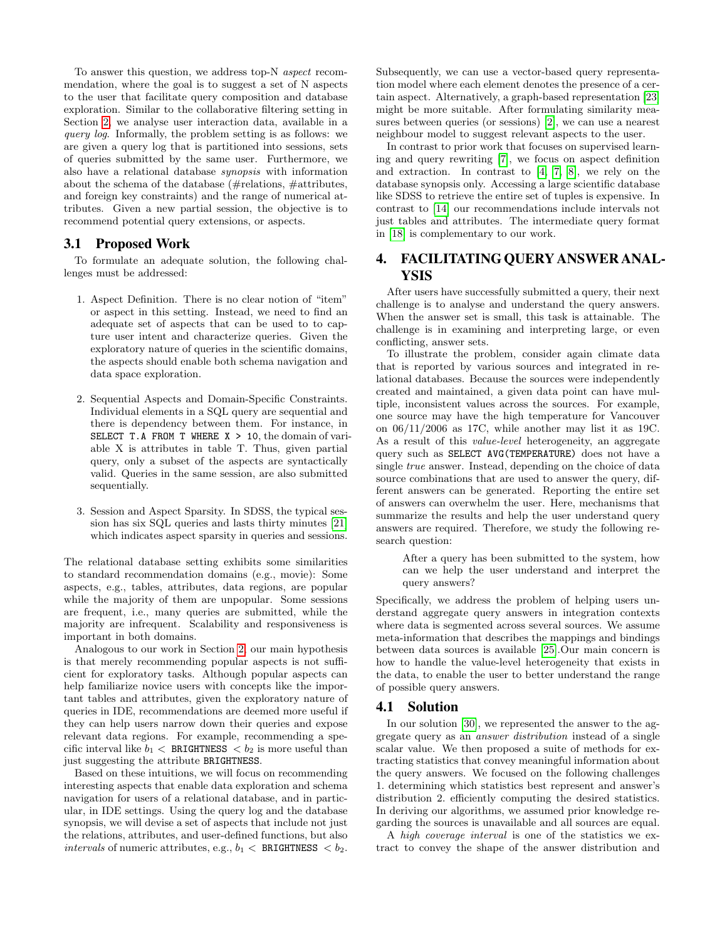To answer this question, we address top-N aspect recommendation, where the goal is to suggest a set of N aspects to the user that facilitate query composition and database exploration. Similar to the collaborative filtering setting in Section [2,](#page-0-0) we analyse user interaction data, available in a query log. Informally, the problem setting is as follows: we are given a query log that is partitioned into sessions, sets of queries submitted by the same user. Furthermore, we also have a relational database synopsis with information about the schema of the database (#relations, #attributes, and foreign key constraints) and the range of numerical attributes. Given a new partial session, the objective is to recommend potential query extensions, or aspects.

#### 3.1 Proposed Work

To formulate an adequate solution, the following challenges must be addressed:

- 1. Aspect Definition. There is no clear notion of "item" or aspect in this setting. Instead, we need to find an adequate set of aspects that can be used to to capture user intent and characterize queries. Given the exploratory nature of queries in the scientific domains, the aspects should enable both schema navigation and data space exploration.
- 2. Sequential Aspects and Domain-Specific Constraints. Individual elements in a SQL query are sequential and there is dependency between them. For instance, in SELECT T.A FROM T WHERE  $X > 10$ , the domain of variable X is attributes in table T. Thus, given partial query, only a subset of the aspects are syntactically valid. Queries in the same session, are also submitted sequentially.
- 3. Session and Aspect Sparsity. In SDSS, the typical session has six SQL queries and lasts thirty minutes [\[21\]](#page-3-1) which indicates aspect sparsity in queries and sessions.

The relational database setting exhibits some similarities to standard recommendation domains (e.g., movie): Some aspects, e.g., tables, attributes, data regions, are popular while the majority of them are unpopular. Some sessions are frequent, i.e., many queries are submitted, while the majority are infrequent. Scalability and responsiveness is important in both domains.

Analogous to our work in Section [2,](#page-0-0) our main hypothesis is that merely recommending popular aspects is not sufficient for exploratory tasks. Although popular aspects can help familiarize novice users with concepts like the important tables and attributes, given the exploratory nature of queries in IDE, recommendations are deemed more useful if they can help users narrow down their queries and expose relevant data regions. For example, recommending a specific interval like  $b_1$  < BRIGHTNESS <  $b_2$  is more useful than just suggesting the attribute BRIGHTNESS.

Based on these intuitions, we will focus on recommending interesting aspects that enable data exploration and schema navigation for users of a relational database, and in particular, in IDE settings. Using the query log and the database synopsis, we will devise a set of aspects that include not just the relations, attributes, and user-defined functions, but also intervals of numeric attributes, e.g.,  $b_1 <$  BRIGHTNESS **.**  Subsequently, we can use a vector-based query representation model where each element denotes the presence of a certain aspect. Alternatively, a graph-based representation [\[23\]](#page-3-22) might be more suitable. After formulating similarity measures between queries (or sessions) [\[2\]](#page-3-23), we can use a nearest neighbour model to suggest relevant aspects to the user.

In contrast to prior work that focuses on supervised learning and query rewriting [\[7\]](#page-3-24), we focus on aspect definition and extraction. In contrast to [\[4,](#page-3-25) [7,](#page-3-24) [8\]](#page-3-26), we rely on the database synopsis only. Accessing a large scientific database like SDSS to retrieve the entire set of tuples is expensive. In contrast to [\[14\]](#page-3-3) our recommendations include intervals not just tables and attributes. The intermediate query format in [\[18\]](#page-3-27) is complementary to our work.

# <span id="page-2-0"></span>4. FACILITATING QUERY ANSWER ANAL-YSIS

After users have successfully submitted a query, their next challenge is to analyse and understand the query answers. When the answer set is small, this task is attainable. The challenge is in examining and interpreting large, or even conflicting, answer sets.

To illustrate the problem, consider again climate data that is reported by various sources and integrated in relational databases. Because the sources were independently created and maintained, a given data point can have multiple, inconsistent values across the sources. For example, one source may have the high temperature for Vancouver on 06/11/2006 as 17C, while another may list it as 19C. As a result of this value-level heterogeneity, an aggregate query such as SELECT AVG(TEMPERATURE) does not have a single true answer. Instead, depending on the choice of data source combinations that are used to answer the query, different answers can be generated. Reporting the entire set of answers can overwhelm the user. Here, mechanisms that summarize the results and help the user understand query answers are required. Therefore, we study the following research question:

After a query has been submitted to the system, how can we help the user understand and interpret the query answers?

Specifically, we address the problem of helping users understand aggregate query answers in integration contexts where data is segmented across several sources. We assume meta-information that describes the mappings and bindings between data sources is available [\[25\]](#page-3-28).Our main concern is how to handle the value-level heterogeneity that exists in the data, to enable the user to better understand the range of possible query answers.

#### 4.1 Solution

In our solution [\[30\]](#page-3-29), we represented the answer to the aggregate query as an answer distribution instead of a single scalar value. We then proposed a suite of methods for extracting statistics that convey meaningful information about the query answers. We focused on the following challenges 1. determining which statistics best represent and answer's distribution 2. efficiently computing the desired statistics. In deriving our algorithms, we assumed prior knowledge regarding the sources is unavailable and all sources are equal.

A high coverage interval is one of the statistics we extract to convey the shape of the answer distribution and